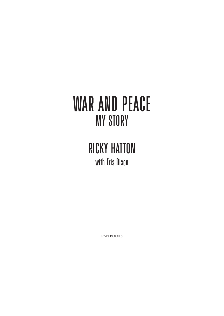# WAR AND PEACE MY STORY

### RICKY HATTON with Tris Dixon

PAN BOOKS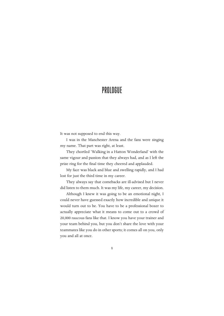### **PROLOGUE**

It was not supposed to end this way.

I was in the Manchester Arena and the fans were singing my name. That part was right, at least.

They chortled 'Walking in a Hatton Wonderland' with the same vigour and passion that they always had, and as I left the prize ring for the final time they cheered and applauded.

My face was black and blue and swelling rapidly, and I had lost for just the third time in my career.

They always say that comebacks are ill-advised but I never did listen to them much. It was my life, my career, my decision.

Although I knew it was going to be an emotional night, I could never have guessed exactly how incredible and unique it would turn out to be. You have to be a professional boxer to actually appreciate what it means to come out to a crowd of 20,000 raucous fans like that. I know you have your trainer and your team behind you, but you don't share the love with your teammates like you do in other sports; it comes all on you, only you and all at once.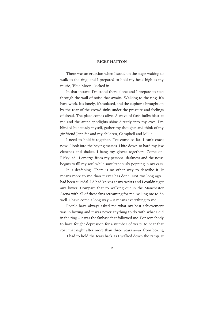There was an eruption when I stood on the stage waiting to walk to the ring, and I prepared to hold my head high as my music, 'Blue Moon', kicked in.

In that instant, I'm stood there alone and I prepare to step through the wall of noise that awaits. Walking to the ring, it's hard work. It's lonely, it's isolated, and the euphoria brought on by the roar of the crowd sinks under the pressure and feelings of dread. The place comes alive. A wave of flash bulbs blast at me and the arena spotlights shine directly into my eyes. I'm blinded but steady myself, gather my thoughts and think of my girlfriend Jennifer and my children, Campbell and Millie.

I need to hold it together. I've come so far. I can't crack now. I look into the baying masses. I bite down so hard my jaw clenches and shakes. I bang my gloves together: 'Come on, Ricky lad.' I emerge from my personal darkness and the noise begins to fill my soul while simultaneously popping in my ears.

It is deafening. There is no other way to describe it. It means more to me than it ever has done. Not too long ago I had been suicidal. I'd had knives at my wrists and I couldn't get any lower. Compare that to walking out in the Manchester Arena with all of these fans screaming for me, willing me to do well. I have come a long way – it means everything to me.

People have always asked me what my best achievement was in boxing and it was never anything to do with what I did in the ring – it was the fanbase that followed me. For somebody to have fought depression for a number of years, to hear that roar that night after more than three years away from boxing . . . I had to hold the tears back as I walked down the ramp. It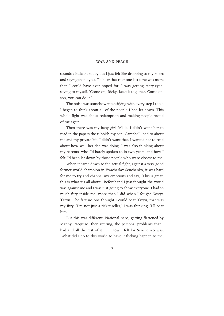sounds a little bit soppy but I just felt like dropping to my knees and saying thank you. To hear that roar one last time was more than I could have ever hoped for. I was getting teary-eyed, saying to myself, 'Come on, Ricky, keep it together. Come on, son, you can do it.'

The noise was somehow intensifying with every step I took. I began to think about all of the people I had let down. This whole fight was about redemption and making people proud of me again.

Then there was my baby girl, Millie. I didn't want her to read in the papers the rubbish my son, Campbell, had to about me and my private life. I didn't want that. I wanted her to read about how well her dad was doing. I was also thinking about my parents, who I'd barely spoken to in two years, and how I felt I'd been let down by those people who were closest to me.

When it came down to the actual fight, against a very good former world champion in Vyacheslav Senchenko, it was hard for me to try and channel my emotions and say, 'This is great, this is what it's all about.' Beforehand I just thought the world was against me and I was just going to show everyone. I had so much fury inside me, more than I did when I fought Kostya Tszyu. The fact no one thought I could beat Tszyu, that was my fury. 'I'm not just a ticket-seller,' I was thinking, 'I'll beat him.'

But this was different. National hero, getting flattened by Manny Pacquiao, then retiring, the personal problems that I had and all the rest of it . . . How I felt for Senchenko was, 'What did I do to this world to have it fucking happen to me,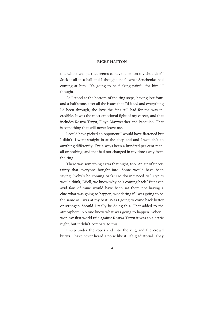this whole weight that seems to have fallen on my shoulders?' Stick it all in a ball and I thought that's what Senchenko had coming at him. 'It's going to be fucking painful for him,' I thought.

As I stood at the bottom of the ring steps, having lost fourand-a-half stone, after all the issues that I'd faced and everything I'd been through, the love the fans still had for me was incredible. It was the most emotional fight of my career, and that includes Kostya Tszyu, Floyd Mayweather and Pacquiao. That is something that will never leave me.

I could have picked an opponent I would have flattened but I didn't. I went straight in at the deep end and I wouldn't do anything differently. I've always been a hundred-per-cent man, all or nothing, and that had not changed in my time away from the ring.

There was something extra that night, too. An air of uncertainty that everyone bought into. Some would have been saying, 'Why's he coming back? He doesn't need to.' Cynics would think, 'Well, we know why he's coming back.' But even avid fans of mine would have been sat there not having a clue what was going to happen, wondering if I was going to be the same as I was at my best. Was I going to come back better or stronger? Should I really be doing this? That added to the atmosphere. No one knew what was going to happen. When I won my first world title against Kostya Tszyu it was an electric night, but it didn't compare to this.

I step under the ropes and into the ring and the crowd bursts. I have never heard a noise like it. It's gladiatorial. They

**4**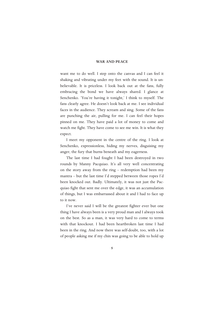want me to do well. I step onto the canvas and I can feel it shaking and vibrating under my feet with the sound. It is un believable. It is priceless. I look back out at the fans, fully embracing the bond we have always shared. I glance at Senchenko. 'You're having it tonight,' I think to myself. The fans clearly agree. He doesn't look back at me. I see individual faces in the audience. They scream and sing. Some of the fans are punching the air, pulling for me. I can feel their hopes pinned on me. They have paid a lot of money to come and watch me fight. They have come to see me win. It is what they expect.

I meet my opponent in the centre of the ring. I look at Senchenko, expressionless, hiding my nerves, disguising my anger, the fury that burns beneath and my eagerness.

The last time I had fought I had been destroyed in two rounds by Manny Pacquiao. It's all very well concentrating on the story away from the ring – redemption had been my mantra – but the last time I'd stepped between those ropes I'd been knocked out. Badly. Ultimately, it was not just the Pacquiao fight that sent me over the edge, it was an accumulation of things, but I was embarrassed about it and I had to face up to it now.

I've never said I will be the greatest fighter ever but one thing I have always been is a very proud man and I always took on the best. So as a man, it was very hard to come to terms with that knockout. I had been heartbroken last time I had been in the ring. And now there was self-doubt, too, with a lot of people asking me if my chin was going to be able to hold up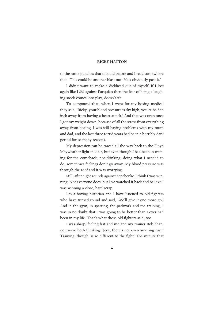to the same punches that it could before and I read somewhere that: 'This could be another blast out. He's obviously past it.'

I didn't want to make a dickhead out of myself. If I lost again like I did against Pacquiao then the fear of being a laughing stock comes into play, doesn't it?

To compound that, when I went for my boxing medical they said, 'Ricky, your blood pressure is sky high, you're half an inch away from having a heart attack.' And that was even once I got my weight down, because of all the stress from everything away from boxing. I was still having problems with my mum and dad, and the last three torrid years had been a horribly dark period for so many reasons.

My depression can be traced all the way back to the Floyd Mayweather fight in 2007, but even though I had been in training for the comeback, not drinking, doing what I needed to do, sometimes feelings don't go away. My blood pressure was through the roof and it was worrying.

Still, after eight rounds against Senchenko I think I was winning. Not everyone does, but I've watched it back and believe I was winning a close, hard scrap.

I'm a boxing historian and I have listened to old fighters who have turned round and said, 'We'll give it one more go.' And in the gym, in sparring, the padwork and the training, I was in no doubt that I was going to be better than I ever had been in my life. That's what those old fighters said, too.

I was sharp, feeling fast and me and my trainer Bob Shannon were both thinking: 'Jeez, there's not even any ring rust.' Training, though, is so different to the fight. The minute that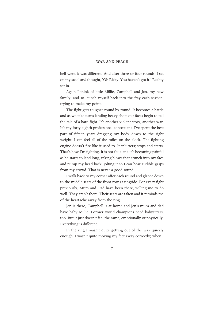bell went it was different. And after three or four rounds, I sat on my stool and thought, 'Oh Ricky. You haven't got it.' Reality set in.

Again I think of little Millie, Campbell and Jen, my new family, and so launch myself back into the fray each session, trying to make my point.

The fight gets tougher round by round. It becomes a battle and as we take turns landing heavy shots our faces begin to tell the tale of a hard fight. It's another violent story, another war. It's my forty-eighth professional contest and I've spent the best part of fifteen years dragging my body down to the right weight. I can feel all of the miles on the clock. The fighting engine doesn't fire like it used to. It splutters; stops and starts. That's how I'm fighting. It is not fluid and it's becoming painful as he starts to land long, raking blows that crunch into my face and pump my head back, jolting it so I can hear audible gasps from my crowd. That is never a good sound.

I walk back to my corner after each round and glance down to the middle seats of the front row at ringside. For every fight previously, Mum and Dad have been there, willing me to do well. They aren't there. Their seats are taken and it reminds me of the heartache away from the ring.

Jen is there, Campbell is at home and Jen's mum and dad have baby Millie. Former world champions need babysitters, too. But it just doesn't feel the same, emotionally or physically. Everything is different.

In the ring I wasn't quite getting out of the way quickly enough. I wasn't quite moving my feet away correctly; when I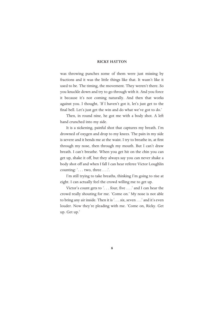was throwing punches some of them were just missing by fractions and it was the little things like that. It wasn't like it used to be. The timing, the movement. They weren't there. So you knuckle down and try to go through with it. And you force it because it's not coming naturally. And then that works against you. I thought, 'If I haven't got it, let's just get to the final bell. Let's just get the win and do what we've got to do.'

Then, in round nine, he got me with a body shot. A left hand crunched into my side.

It is a sickening, painful shot that captures my breath. I'm drowned of oxygen and drop to my knees. The pain in my side is severe and it bends me at the waist. I try to breathe in, at first through my nose, then through my mouth. But I can't draw breath. I can't breathe. When you get hit on the chin you can get up, shake it off, but they always say you can never shake a body shot off and when I fall I can hear referee Victor Loughlin counting: '. . . two, three . . .'.

I'm still trying to take breaths, thinking I'm going to rise at eight. I can actually feel the crowd willing me to get up.

Victor's count gets to '... four, five ...' and I can hear the crowd really shouting for me. 'Come on.' My nose is not able to bring any air inside. Then it is '. . . six, seven . . .' and it's even louder. Now they're pleading with me. 'Come on, Ricky. Get up. Get up.'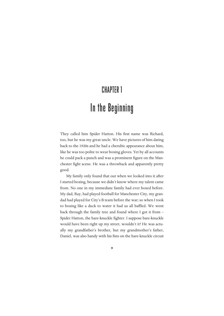## CHAPTER 1 In the Beginning

They called him Spider Hatton. His first name was Richard, too, but he was my great uncle. We have pictures of him dating back to the 1920s and he had a cherubic appearance about him, like he was too polite to wear boxing gloves. Yet by all accounts he could pack a punch and was a prominent figure on the Manchester fight scene. He was a throwback and apparently pretty good.

My family only found that out when we looked into it after I started boxing, because we didn't know where my talent came from. No one in my immediate family had ever boxed before. My dad, Ray, had played football for Manchester City, my grandad had played for City's B team before the war; so when I took to boxing like a duck to water it had us all baffled. We went back through the family tree and found where I got it from – Spider Hatton, the bare-knuckle fighter. I suppose bare-knuckle would have been right up my street, wouldn't it? He was actually my grandfather's brother, but my grandmother's father, Daniel, was also handy with his fists on the bare-knuckle circuit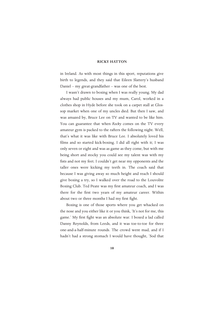in Ireland. As with most things in this sport, reputations give birth to legends, and they said that Eileen Slattery's husband Daniel – my great-grandfather – was one of the best.

I wasn't drawn to boxing when I was really young. My dad always had public houses and my mum, Carol, worked in a clothes shop in Hyde before she took on a carpet stall at Glossop market when one of my uncles died. But then I saw, and was amazed by, Bruce Lee on TV and wanted to be like him. You can guarantee that when *Rocky* comes on the TV every amateur gym is packed to the rafters the following night. Well, that's what it was like with Bruce Lee. I absolutely loved his films and so started kick-boxing. I did all right with it; I was only seven or eight and was as game as they come, but with me being short and stocky you could see my talent was with my fists and not my feet. I couldn't get near my opponents and the taller ones were kicking my teeth in. The coach said that because I was giving away so much height and reach I should give boxing a try, so I walked over the road to the Louvolite Boxing Club. Ted Peate was my first amateur coach, and I was there for the first two years of my amateur career. Within about two or three months I had my first fight.

Boxing is one of those sports where you get whacked on the nose and you either like it or you think, 'It's not for me, this game.' My first fight was an absolute war. I boxed a lad called Danny Reynolds, from Leeds, and it was toe-to-toe for three one-and-a-half-minute rounds. The crowd went mad, and if I hadn't had a strong stomach I would have thought, 'Sod that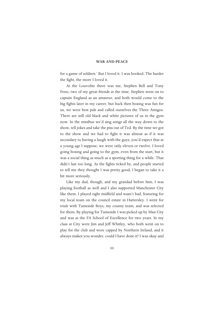for a game of soldiers.' But I loved it. I was hooked. The harder the fight, the more I loved it.

At the Louvolite there was me, Stephen Bell and Tony Feno, two of my great friends at the time. Stephen went on to captain England as an amateur, and both would come to the big fights later in my career, but back then boxing was fun for us, we were best pals and called ourselves the Three Amigos. There are still old black and white pictures of us in the gym now. In the minibus we'd sing songs all the way down to the show, tell jokes and take the piss out of Ted. By the time we got to the show and we had to fight it was almost as if it was secondary to having a laugh with the guys; you'd expect that at a young age I suppose, we were only eleven or twelve. I loved going boxing and going to the gym, even from the start, but it was a social thing as much as a sporting thing for a while. That didn't last too long. As the fights ticked by, and people started to tell me they thought I was pretty good, I began to take it a bit more seriously.

Like my dad, though, and my grandad before him, I was playing football as well and I also supported Manchester City like them. I played right midfield and wasn't bad, featuring for my local team on the council estate in Hattersley. I went for trials with Tameside Boys, my county team, and was selected for them. By playing for Tameside I was picked up by Man City and was at the FA School of Excellence for two years. In my class at City were Jim and Jeff Whitley, who both went on to play for the club and were capped by Northern Ireland, and it always makes you wonder, could I have done it? I was okay and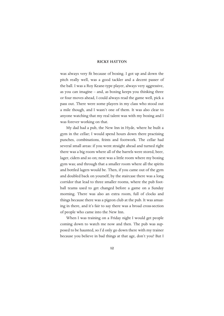was always very fit because of boxing. I got up and down the pitch really well, was a good tackler and a decent passer of the ball. I was a Roy Keane-type player, always very aggressive, as you can imagine – and, as boxing keeps you thinking three or four moves ahead, I could always read the game well, pick a pass out. There were some players in my class who stood out a mile though, and I wasn't one of them. It was also clear to anyone watching that my real talent was with my boxing and I was forever working on that.

My dad had a pub, the New Inn in Hyde, where he built a gym in the cellar; I would spend hours down there practising punches, combinations, feints and footwork. The cellar had several small areas: if you went straight ahead and turned right there was a big room where all of the barrels were stored, beer, lager, ciders and so on; next was a little room where my boxing gym was; and through that a smaller room where all the spirits and bottled lagers would be. Then, if you came out of the gym and doubled back on yourself, by the staircase there was a long corridor that lead to three smaller rooms, where the pub football teams used to get changed before a game on a Sunday morning. There was also an extra room, full of clocks and things because there was a pigeon club at the pub. It was amazing in there, and it's fair to say there was a broad cross-section of people who came into the New Inn.

When I was training on a Friday night I would get people coming down to watch me now and then. The pub was supposed to be haunted, so I'd only go down there with my trainer because you believe in bad things at that age, don't you? But I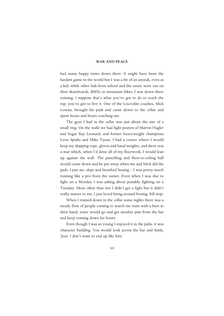had many happy times down there. It might have been the hardest game in the world but I was a bit of an anorak, even as a kid; while other lads from school and the estate were out on their skateboards, BMXs or mountain bikes, I was down there training. I suppose that's what you've got to do to reach the top, you've got to live it. One of the Louvolite coaches, Mick Lowan, brought his pads and came down to the cellar and spent hours and hours coaching me.

The gym I had in the cellar was just about the size of a small ring. On the walls we had fight posters of Marvin Hagler and Sugar Ray Leonard, and former heavyweight champions Leon Spinks and Mike Tyson. I had a corner where I would keep my skipping rope, gloves and hand weights, and there was a mat which, when I'd done all of my floorwork, I would lean up against the wall. The punchbag and floor-to-ceiling ball would come down and be put away when me and Mick did the pads. I just ate, slept and breathed boxing – I was pretty much training like a pro from the outset. Even when I was due to fight on a Monday I was asking about possibly fighting on a Tuesday. More often than not I didn't get a fight but it didn't really matter to me, I just loved being around boxing, full stop.

When I trained down in the cellar some nights there was a steady flow of people coming to watch me train with a beer in their hand; some would go and get another pint from the bar and keep coming down for hours.

Even though I was so young I enjoyed it in the pubs, it was character building. You would look across the bar and think, 'Jeez, I don't want to end up like him.'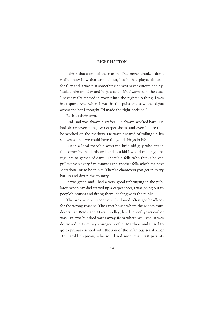I think that's one of the reasons Dad never drank. I don't really know how that came about, but he had played football for City and it was just something he was never entertained by. I asked him one day and he just said, 'It's always been the case. I never really fancied it, wasn't into the nightclub thing. I was into sport. And when I was in the pubs and saw the sights across the bar I thought I'd made the right decision.'

Each to their own.

And Dad was always a grafter. He always worked hard. He had six or seven pubs, two carpet shops, and even before that he worked on the markets. He wasn't scared of rolling up his sleeves so that we could have the good things in life.

But in a local there's always the little old guy who sits in the corner by the dartboard, and as a kid I would challenge the regulars to games of darts. There's a fella who thinks he can pull women every five minutes and another fella who's the next Maradona, or so he thinks. They're characters you get in every bar up and down the country.

It was great, and I had a very good upbringing in the pub; later, when my dad started up a carpet shop, I was going out to people's houses and fitting them, dealing with the public.

The area where I spent my childhood often got headlines for the wrong reasons. The exact house where the Moors murderers, Ian Brady and Myra Hindley, lived several years earlier was just two hundred yards away from where we lived. It was destroyed in 1987. My younger brother Matthew and I used to go to primary school with the son of the infamous serial killer Dr Harold Shipman, who murdered more than 200 patients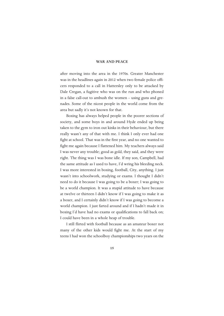after moving into the area in the 1970s. Greater Manchester was in the headlines again in 2012 when two female police officers responded to a call in Hattersley only to be attacked by Dale Cregan, a fugitive who was on the run and who phoned in a false call-out to ambush the women – using guns and grenades. Some of the nicest people in the world come from the area but sadly it's not known for that.

Boxing has always helped people in the poorer sections of society, and some boys in and around Hyde ended up being taken to the gym to iron out kinks in their behaviour, but there really wasn't any of that with me. I think I only ever had one fight at school. That was in the first year, and no one wanted to fight me again because I flattened him. My teachers always said I was never any trouble; good as gold, they said, and they were right. The thing was I was bone idle. If my son, Campbell, had the same attitude as I used to have, I'd wring his bleeding neck. I was more interested in boxing, football, City, anything. I just wasn't into schoolwork, studying or exams. I thought I didn't need to do it because I was going to be a boxer; I was going to be a world champion. It was a stupid attitude to have because at twelve or thirteen I didn't know if I was going to make it as a boxer, and I certainly didn't know if I was going to become a world champion. I just farted around and if I hadn't made it in boxing I'd have had no exams or qualifications to fall back on; I could have been in a whole heap of trouble.

I still flirted with football because as an amateur boxer not many of the other kids would fight me. At the start of my teens I had won the schoolboy championships two years on the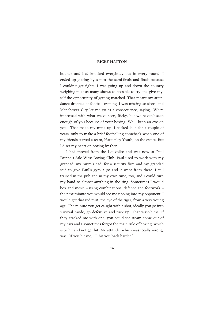bounce and had knocked everybody out in every round. I ended up getting byes into the semi-finals and finals because I couldn't get fights. I was going up and down the country weighing-in at as many shows as possible to try and give myself the opportunity of getting matched. That meant my attendance dropped at football training. I was missing sessions, and Manchester City let me go as a consequence, saying, 'We're impressed with what we've seen, Ricky, but we haven't seen enough of you because of your boxing. We'll keep an eye on you.' That made my mind up. I packed it in for a couple of years, only to make a brief footballing comeback when one of my friends started a team, Hattersley Youth, on the estate. But I'd set my heart on boxing by then.

I had moved from the Louvolite and was now at Paul Dunne's Sale West Boxing Club. Paul used to work with my grandad, my mum's dad, for a security firm and my grandad said to give Paul's gym a go and it went from there. I still trained in the pub and in my own time, too, and I could turn my hand to almost anything in the ring. Sometimes I would box and move – using combinations, defence and footwork – the next minute you would see me ripping into my opponent. I would get that red mist, the eye of the tiger, from a very young age. The minute you get caught with a shot, ideally you go into survival mode, go defensive and tuck up. That wasn't me. If they cracked me with one, you could see steam come out of my ears and I sometimes forgot the main rule of boxing, which is to hit and not get hit. My attitude, which was totally wrong, was: 'If you hit me, I'll hit you back harder.'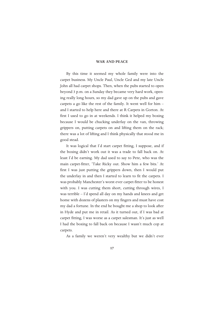By this time it seemed my whole family were into the carpet business. My Uncle Paul, Uncle Ged and my late Uncle John all had carpet shops. Then, when the pubs started to open beyond 3 p.m. on a Sunday they became very hard work, opening really long hours, so my dad gave up on the pubs and gave carpets a go like the rest of the family. It went well for him – and I started to help here and there at R Carpets in Gorton. At first I used to go in at weekends. I think it helped my boxing because I would be chucking underlay on the van, throwing grippers on, putting carpets on and lifting them on the rack; there was a lot of lifting and I think physically that stood me in good stead.

It was logical that I'd start carpet fitting, I suppose, and if the boxing didn't work out it was a trade to fall back on. At least I'd be earning. My dad used to say to Pete, who was the main carpet-fitter, 'Take Ricky out. Show him a few bits.' At first I was just putting the grippers down, then I would put the underlay in and then I started to learn to fit the carpets. I was probably Manchester's worst ever carpet-fitter to be honest with you. I was cutting them short, cutting through wires, I was terrible – I'd spend all day on my hands and knees and get home with dozens of plasters on my fingers and must have cost my dad a fortune. In the end he bought me a shop to look after in Hyde and put me in retail. As it turned out, if I was bad at carpet fitting, I was worse as a carpet salesman. It's just as well I had the boxing to fall back on because I wasn't much cop at carpets.

As a family we weren't very wealthy but we didn't ever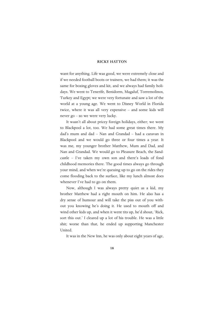want for anything. Life was good, we were extremely close and if we needed football boots or trainers, we had them; it was the same for boxing gloves and kit, and we always had family holidays. We went to Tenerife, Benidorm, Magaluf, Torremolinos, Turkey and Egypt; we were very fortunate and saw a lot of the world at a young age. We went to Disney World in Florida twice, where it was all very expensive – and some kids will never go – so we were very lucky.

It wasn't all about pricey foreign holidays, either; we went to Blackpool a lot, too. We had some great times there. My dad's mum and dad – Nan and Grandad – had a caravan in Blackpool and we would go three or four times a year. It was me, my younger brother Matthew, Mum and Dad, and Nan and Grandad. We would go to Pleasure Beach, the Sandcastle – I've taken my own son and there's loads of fond childhood memories there. The good times always go through your mind, and when we're queuing up to go on the rides they come flooding back to the surface, like my lunch almost does whenever I've had to go on them.

Now, although I was always pretty quiet as a kid, my brother Matthew had a right mouth on him. He also has a dry sense of humour and will take the piss out of you without you knowing he's doing it. He used to mouth off and wind other kids up, and when it went tits up, he'd shout, 'Rick, sort this out.' I cleared up a lot of his trouble. He was a little shit; worse than that, he ended up supporting Manchester United.

It was in the New Inn, he was only about eight years of age,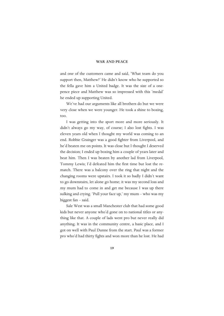and one of the customers came and said, 'What team do you support then, Matthew?' He didn't know who he supported so the fella gave him a United badge. It was the size of a onepence piece and Matthew was so impressed with this 'medal' he ended up supporting United.

We've had our arguments like all brothers do but we were very close when we were younger. He took a shine to boxing, too.

I was getting into the sport more and more seriously. It didn't always go my way, of course; I also lost fights. I was eleven years old when I thought my world was coming to an end. Robbie Grainger was a good fighter from Liverpool, and he'd beaten me on points. It was close but I thought I deserved the decision; I ended up boxing him a couple of years later and beat him. Then I was beaten by another lad from Liverpool, Tommy Lewis; I'd defeated him the first time but lost the rematch. There was a balcony over the ring that night and the changing rooms were upstairs. I took it so badly I didn't want to go downstairs, let alone go home; it was my second loss and my mum had to come in and get me because I was up there sulking and crying. 'Pull your face up,' my mum – who was my biggest fan – said.

Sale West was a small Manchester club that had some good kids but never anyone who'd gone on to national titles or anything like that. A couple of lads went pro but never really did anything. It was in the community centre, a basic place, and I got on well with Paul Dunne from the start. Paul was a former pro who'd had thirty fights and won more than he lost. He had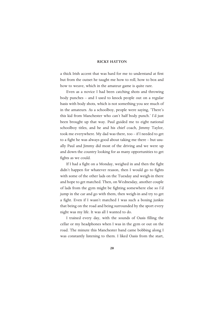a thick Irish accent that was hard for me to understand at first but from the outset he taught me how to roll, how to box and how to weave, which in the amateur game is quite rare.

Even as a novice I had been catching shots and throwing body punches – and I used to knock people out on a regular basis with body shots, which is not something you see much of in the amateurs. As a schoolboy, people were saying, 'There's this kid from Manchester who can't half body punch.' I'd just been brought up that way. Paul guided me to eight national schoolboy titles, and he and his chief coach, Jimmy Taylor, took me everywhere. My dad was there, too – if I needed to get to a fight he was always good about taking me there - but usually Paul and Jimmy did most of the driving and we were up and down the country looking for as many opportunities to get fights as we could.

If I had a fight on a Monday, weighed in and then the fight didn't happen for whatever reason, then I would go to fights with some of the other lads on the Tuesday and weigh-in there and hope to get matched. Then, on Wednesday, another couple of lads from the gym might be fighting somewhere else so I'd jump in the car and go with them, then weigh-in and try to get a fight. Even if I wasn't matched I was such a boxing junkie that being on the road and being surrounded by the sport every night was my life. It was all I wanted to do.

I trained every day, with the sounds of Oasis filling the cellar or my headphones when I was in the gym or out on the road. The minute this Manchester band came bobbing along I was constantly listening to them. I liked Oasis from the start,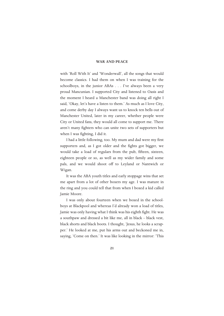with 'Roll With It' and 'Wonderwall', all the songs that would become classics. I had them on when I was training for the schoolboys, in the junior ABAs . . . I've always been a very proud Mancunian. I supported City and listened to Oasis and the moment I heard a Manchester band was doing all right I said, 'Okay, let's have a listen to them.' As much as I love City, and come derby day I always want us to knock ten bells out of Manchester United, later in my career, whether people were City or United fans, they would all come to support me. There aren't many fighters who can unite two sets of supporters but when I was fighting, I did it.

I had a little following, too. My mum and dad were my first supporters and, as I got older and the fights got bigger, we would take a load of regulars from the pub, fifteen, sixteen, eighteen people or so, as well as my wider family and some pals, and we would shoot off to Leyland or Nantwich or Wigan.

It was the ABA youth titles and early stoppage wins that set me apart from a lot of other boxers my age. I was mature in the ring and you could tell that from when I boxed a kid called Jamie Moore.

I was only about fourteen when we boxed in the schoolboys at Blackpool and whereas I'd already won a load of titles, Jamie was only having what I think was his eighth fight. He was a southpaw and dressed a bit like me, all in black – black vest, black shorts and black boots. I thought, 'Jesus, he looks a scrapper.' He looked at me, put his arms out and beckoned me in, saying, 'Come on then.' It was like looking in the mirror: 'This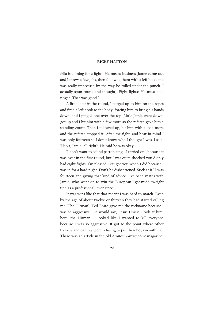fella is coming for a fight.' He meant business. Jamie came out and I threw a few jabs, then followed them with a left hook and was really impressed by the way he rolled under the punch. I actually spun round and thought, 'Eight fights? He must be a ringer. That was good.'

A little later in the round, I barged up to him on the ropes and fired a left hook to the body, forcing him to bring his hands down, and I pinged one over the top. Little Jamie went down, got up and I hit him with a few more so the referee gave him a standing count. Then I followed up, hit him with a load more and the referee stopped it. After the fight, and bear in mind I was only fourteen so I don't know who I thought I was, I said, 'Hi ya, Jamie, all right?' He said he was okay.

'I don't want to sound patronizing,' I carried on, 'because it was over in the first round, but I was quite shocked you'd only had eight fights. I'm pleased I caught you when I did because I was in for a hard night. Don't be disheartened. Stick at it.' I was fourteen and giving that kind of advice. I've been mates with Jamie, who went on to win the European light-middleweight title as a professional, ever since.

It was wins like that that meant I was hard to match. Even by the age of about twelve or thirteen they had started calling me 'The Hitman'. Ted Peate gave me the nickname because I was so aggressive. He would say, 'Jesus Christ. Look at him, here, the Hitman.' I looked like I wanted to kill everyone because I was so aggressive. It got to the point where other trainers and parents were refusing to put their boys in with me. There was an article in the old *Amateur Boxing Scene* magazine,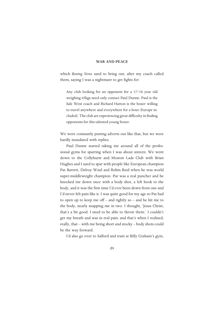which *Boxing News* used to bring out, after my coach called them, saying I was a nightmare to get fights for:

Any club looking for an opponent for a 17/18 year old weighing 65kgs need only contact Paul Dunne. Paul is the Sale West coach and Richard Hatton is the boxer willing to travel anywhere and everywhere for a bout (Europe included). The club are experiencing great difficulty in finding opponents for this talented young boxer.

We were constantly putting adverts out like that, but we were hardly inundated with replies.

Paul Dunne started taking me around all of the professional gyms for sparring when I was about sixteen. We went down to the Collyhurst and Moston Lads Club with Brian Hughes and I used to spar with people like European champion Pat Barrett, Delroy Waul and Robin Reid when he was world super-middleweight champion. Pat was a real puncher and he knocked me down once with a body shot, a left hook to the body, and it was the first time I'd ever been down from one and I'd never felt pain like it. I was quite good for my age so Pat had to open up to keep me off – and rightly so – and he hit me to the body, nearly snapping me in two. I thought, 'Jesus Christ, that's a bit good. I need to be able to throw them.' I couldn't get my breath and was in real pain, and that's when I realized, really, that – with me being short and stocky – body shots could be the way forward.

I'd also go over to Salford and train at Billy Graham's gym,